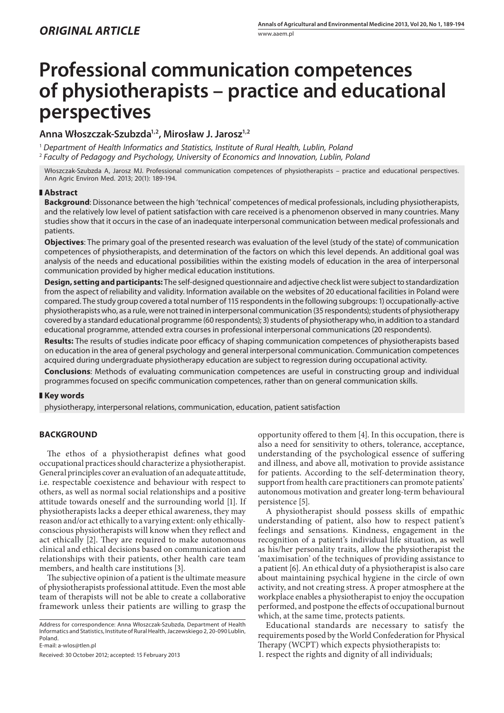# **Professional communication competences of physiotherapists – practice and educational perspectives**

# **Anna Włoszczak-Szubzda1,2, Mirosław J. Jarosz1,2**

<sup>1</sup> *Department of Health Informatics and Statistics, Institute of Rural Health, Lublin, Poland* <sup>2</sup> *Faculty of Pedagogy and Psychology, University of Economics and Innovation, Lublin, Poland*

Włoszczak-Szubzda A, Jarosz MJ. Professional communication competences of physiotherapists – practice and educational perspectives. Ann Agric Environ Med. 2013; 20(1): 189-194.

### **Abstract**

**Background**: Dissonance between the high 'technical' competences of medical professionals, including physiotherapists, and the relatively low level of patient satisfaction with care received is a phenomenon observed in many countries. Many studies show that it occurs in the case of an inadequate interpersonal communication between medical professionals and patients.

**Objectives**: The primary goal of the presented research was evaluation of the level (study of the state) of communication competences of physiotherapists, and determination of the factors on which this level depends. An additional goal was analysis of the needs and educational possibilities within the existing models of education in the area of interpersonal communication provided by higher medical education institutions.

**Design, setting and participants:** The self-designed questionnaire and adjective check list were subject to standardization from the aspect of reliability and validity. Information available on the websites of 20 educational facilities in Poland were compared. The study group covered a total number of 115 respondents in the following subgroups: 1) occupationally-active physiotherapists who, as a rule, were not trained in interpersonal communication (35 respondents); students of physiotherapy covered by a standard educational programme (60 respondents); 3) students of physiotherapy who, in addition to a standard educational programme, attended extra courses in professional interpersonal communications (20 respondents).

**Results:** The results of studies indicate poor efficacy of shaping communication competences of physiotherapists based on education in the area of general psychology and general interpersonal communication. Communication competences acquired during undergraduate physiotherapy education are subject to regression during occupational activity.

**Conclusions**: Methods of evaluating communication competences are useful in constructing group and individual programmes focused on specific communication competences, rather than on general communication skills.

## **Key words**

physiotherapy, interpersonal relations, communication, education, patient satisfaction

# **BACKGROUND**

The ethos of a physiotherapist defines what good occupational practices should characterize a physiotherapist. General principles cover an evaluation of an adequate attitude, i.e. respectable coexistence and behaviour with respect to others, as well as normal social relationships and a positive attitude towards oneself and the surrounding world [1]. If physiotherapists lacks a deeper ethical awareness, they may reason and/or act ethically to a varying extent: only ethicallyconscious physiotherapists will know when they reflect and act ethically [2]. They are required to make autonomous clinical and ethical decisions based on communication and relationships with their patients, other health care team members, and health care institutions [3].

The subjective opinion of a patient is the ultimate measure of physiotherapists professional attitude. Even the most able team of therapists will not be able to create a collaborative framework unless their patients are willing to grasp the

Address for correspondence: Anna Włoszczak-Szubzda, Department of Health Informatics and Statistics, Institute of Rural Health, Jaczewskiego 2, 20-090 Lublin, Poland.

E-mail: a-wlos@tlen.pl

Received: 30 October 2012; accepted: 15 February 2013

opportunity offered to them [4]. In this occupation, there is also a need for sensitivity to others, tolerance, acceptance, understanding of the psychological essence of suffering and illness, and above all, motivation to provide assistance for patients. According to the self-determination theory, support from health care practitioners can promote patients' autonomous motivation and greater long-term behavioural persistence [5].

A physiotherapist should possess skills of empathic understanding of patient, also how to respect patient's feelings and sensations. Kindness, engagement in the recognition of a patient's individual life situation, as well as his/her personality traits, allow the physiotherapist the 'maximisation' of the techniques of providing assistance to a patient [6]. An ethical duty of a physiotherapist is also care about maintaining psychical hygiene in the circle of own activity, and not creating stress. A proper atmosphere at the workplace enables a physiotherapist to enjoy the occupation performed, and postpone the effects of occupational burnout which, at the same time, protects patients.

Educational standards are necessary to satisfy the requirements posed by the World Confederation for Physical Therapy (WCPT) which expects physiotherapists to: 1. respect the rights and dignity of all individuals;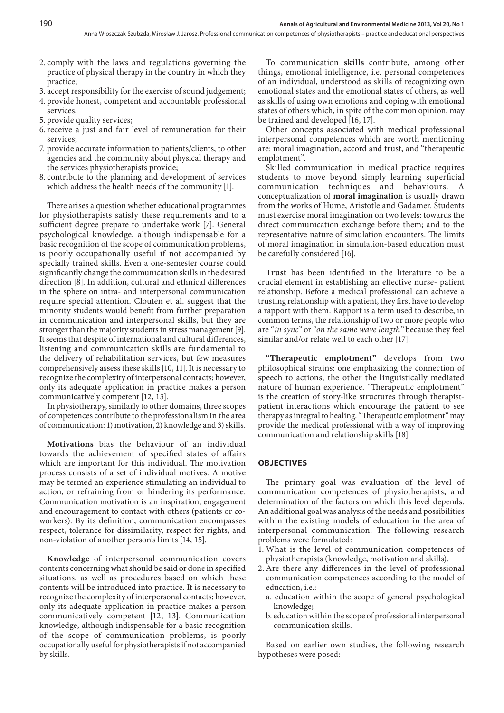- 2. comply with the laws and regulations governing the practice of physical therapy in the country in which they practice;
- 3. accept responsibility for the exercise of sound judgement;
- 4. provide honest, competent and accountable professional services;
- 5. provide quality services;
- 6.receive a just and fair level of remuneration for their services;
- 7. provide accurate information to patients/clients, to other agencies and the community about physical therapy and the services physiotherapists provide;
- 8. contribute to the planning and development of services which address the health needs of the community [1].

There arises a question whether educational programmes for physiotherapists satisfy these requirements and to a sufficient degree prepare to undertake work [7]. General psychological knowledge, although indispensable for a basic recognition of the scope of communication problems, is poorly occupationally useful if not accompanied by specially trained skills. Even a one-semester course could significantly change the communication skills in the desired direction [8]. In addition, cultural and ethnical differences in the sphere on intra- and interpersonal communication require special attention. Clouten et al. suggest that the minority students would benefit from further preparation in communication and interpersonal skills, but they are stronger than the majority students in stress management [9]. It seems that despite of international and cultural differences, listening and communication skills are fundamental to the delivery of rehabilitation services, but few measures comprehensively assess these skills [10, 11]. It is necessary to recognize the complexity of interpersonal contacts; however, only its adequate application in practice makes a person communicatively competent [12, 13].

In physiotherapy, similarly to other domains, three scopes of competences contribute to the professionalism in the area of communication: 1) motivation, 2) knowledge and 3) skills.

**Motivations** bias the behaviour of an individual towards the achievement of specified states of affairs which are important for this individual. The motivation process consists of a set of individual motives. A motive may be termed an experience stimulating an individual to action, or refraining from or hindering its performance. Communication motivation is an inspiration, engagement and encouragement to contact with others (patients or coworkers). By its definition, communication encompasses respect, tolerance for dissimilarity, respect for rights, and non-violation of another person's limits [14, 15].

**Knowledge** of interpersonal communication covers contents concerning what should be said or done in specified situations, as well as procedures based on which these contents will be introduced into practice. It is necessary to recognize the complexity of interpersonal contacts; however, only its adequate application in practice makes a person communicatively competent [12, 13]. Communication knowledge, although indispensable for a basic recognition of the scope of communication problems, is poorly occupationally useful for physiotherapists if not accompanied by skills.

To communication **skills** contribute, among other things, emotional intelligence, i.e. personal competences of an individual, understood as skills of recognizing own emotional states and the emotional states of others, as well as skills of using own emotions and coping with emotional states of others which, in spite of the common opinion, may be trained and developed [16, 17].

Other concepts associated with medical professional interpersonal competences which are worth mentioning are: moral imagination, accord and trust, and "therapeutic emplotment".

Skilled communication in medical practice requires students to move beyond simply learning superficial communication techniques and behaviours. A conceptualization of **moral imagination** is usually drawn from the works of Hume, Aristotle and Gadamer. Students must exercise moral imagination on two levels: towards the direct communication exchange before them; and to the representative nature of simulation encounters. The limits of moral imagination in simulation-based education must be carefully considered [16].

**Trust** has been identified in the literature to be a crucial element in establishing an effective nurse- patient relationship. Before a medical professional can achieve a trusting relationship with a patient, they first have to develop a rapport with them. Rapport is a term used to describe, in common terms, the relationship of two or more people who are "*in sync"* or "*on the same wave length"* because they feel similar and/or relate well to each other [17].

**"Therapeutic emplotment"** develops from two philosophical strains: one emphasizing the connection of speech to actions, the other the linguistically mediated nature of human experience. "Therapeutic emplotment" is the creation of story-like structures through therapistpatient interactions which encourage the patient to see therapy as integral to healing. "Therapeutic emplotment" may provide the medical professional with a way of improving communication and relationship skills [18].

#### **Objectives**

The primary goal was evaluation of the level of communication competences of physiotherapists, and determination of the factors on which this level depends. An additional goal was analysis of the needs and possibilities within the existing models of education in the area of interpersonal communication. The following research problems were formulated:

- 1. What is the level of communication competences of physiotherapists (knowledge, motivation and skills).
- 2.Are there any differences in the level of professional communication competences according to the model of education, i.e.:
	- a. education within the scope of general psychological knowledge;
	- b. education within the scope of professional interpersonal communication skills.

Based on earlier own studies, the following research hypotheses were posed: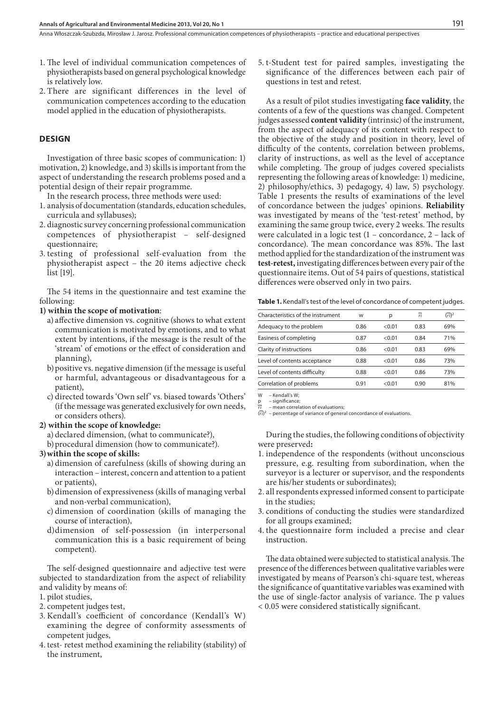Anna Włoszczak-Szubzda, Mirosław J. Jarosz . Professional communication competences of physiotherapists – practice and educational perspectives

- 1. The level of individual communication competences of physiotherapists based on general psychological knowledge is relatively low.
- 2. There are significant differences in the level of communication competences according to the education model applied in the education of physiotherapists.

# **DESIGN**

Investigation of three basic scopes of communication: 1) motivation, 2) knowledge, and 3) skills is important from the aspect of understanding the research problems posed and a potential design of their repair programme.

In the research process, three methods were used:

- 1. analysis of documentation (standards, education schedules, curricula and syllabuses);
- 2. diagnostic survey concerning professional communication competences of physiotherapist – self-designed questionnaire;
- 3. testing of professional self-evaluation from the physiotherapist aspect – the 20 items adjective check list [19].

The 54 items in the questionnaire and test examine the following:

#### **1) within the scope of motivation**:

- a) affective dimension vs. cognitive (shows to what extent communication is motivated by emotions, and to what extent by intentions, if the message is the result of the 'stream' of emotions or the effect of consideration and planning),
- b)positive vs. negative dimension (if the message is useful or harmful, advantageous or disadvantageous for a patient),
- c) directed towards 'Own self' vs. biased towards 'Others' (if the message was generated exclusively for own needs, or considers others).

#### **2) within the scope of knowledge:**

- a) declared dimension, (what to communicate?),
- b)procedural dimension (how to communicate?).

#### **3)within the scope of skills:**

- a) dimension of carefulness (skills of showing during an interaction – interest, concern and attention to a patient or patients),
- b)dimension of expressiveness (skills of managing verbal and non-verbal communication),
- c) dimension of coordination (skills of managing the course of interaction),
- d)dimension of self-possession (in interpersonal communication this is a basic requirement of being competent).

The self-designed questionnaire and adjective test were subjected to standardization from the aspect of reliability and validity by means of:

- 1. pilot studies,
- 2. competent judges test,
- 3. Kendall's coefficient of concordance (Kendall's W) examining the degree of conformity assessments of competent judges,
- 4. test- retest method examining the reliability (stability) of the instrument,

5. t-Student test for paired samples, investigating the significance of the differences between each pair of questions in test and retest.

As a result of pilot studies investigating **face validity**, the contents of a few of the questions was changed. Competent judges assessed **content validity** (intrinsic) of the instrument, from the aspect of adequacy of its content with respect to the objective of the study and position in theory, level of difficulty of the contents, correlation between problems, clarity of instructions, as well as the level of acceptance while completing. The group of judges covered specialists representing the following areas of knowledge: 1) medicine, 2) philosophy/ethics, 3) pedagogy, 4) law, 5) psychology. Table 1 presents the results of examinations of the level of concordance between the judges' opinions. **Reliability**  was investigated by means of the 'test-retest' method, by examining the same group twice, every 2 weeks. The results were calculated in a logic test (1 – concordance, 2 – lack of concordance). The mean concordance was 85%. The last method applied for the standardization of the instrument was **test-retest,** investigating differences between every pair of the questionnaire items. Out of 54 pairs of questions, statistical differences were observed only in two pairs.

Table 1. Kendall's test of the level of concordance of competent judges.

| Characteristics of the instrument | W    | р      | πi   | $(r_i)^2$ |
|-----------------------------------|------|--------|------|-----------|
| Adequacy to the problem           | 0.86 | < 0.01 | 0.83 | 69%       |
| Easiness of completing            | 0.87 | < 0.01 | 0.84 | 71%       |
| Clarity of instructions           | 0.86 | < 0.01 | 0.83 | 69%       |
| Level of contents acceptance      | 0.88 | < 0.01 | 0.86 | 73%       |
| Level of contents difficulty      | 0.88 | < 0.01 | 0.86 | 73%       |
| Correlation of problems           | 0.91 | < 0.01 | 0.90 | 81%       |

W – Kendall's W;

- significance *ri* – mean correlation of evaluations;

(*ri*) - percentage of variance of general concordance of evaluations.

During the studies, the following conditions of objectivity were preserved**:**

- 1. independence of the respondents (without unconscious pressure, e.g. resulting from subordination, when the surveyor is a lecturer or supervisor, and the respondents are his/her students or subordinates);
- 2. all respondents expressed informed consent to participate in the studies;
- 3. conditions of conducting the studies were standardized for all groups examined;
- 4. the questionnaire form included a precise and clear instruction.

The data obtained were subjected to statistical analysis. The presence of the differences between qualitative variables were investigated by means of Pearson's chi-square test, whereas the significance of quantitative variables was examined with the use of single-factor analysis of variance. The p values < 0.05 were considered statistically significant.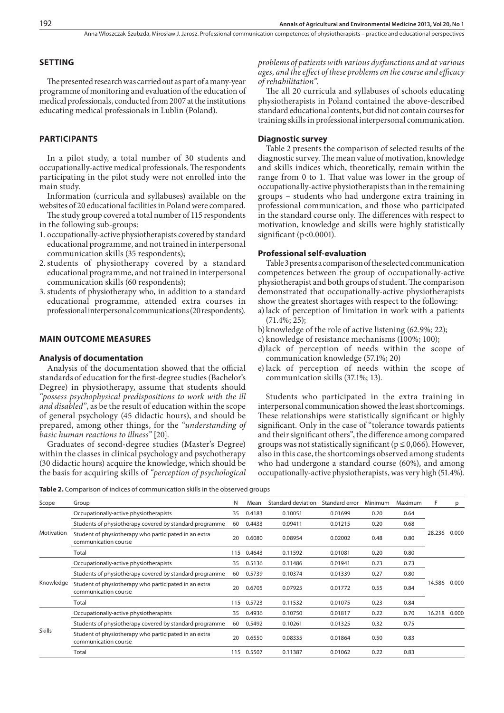Anna Włoszczak-Szubzda, Mirosław J. Jarosz . Professional communication competences of physiotherapists – practice and educational perspectives

#### **SETTING**

The presented research was carried out as part of a many-year programme of monitoring and evaluation of the education of medical professionals, conducted from 2007 at the institutions educating medical professionals in Lublin (Poland).

# **PARTICIPANTS**

In a pilot study, a total number of 30 students and occupationally-active medical professionals. The respondents participating in the pilot study were not enrolled into the main study.

Information (curricula and syllabuses) available on the websites of 20 educational facilities in Poland were compared.

The study group covered a total number of 115 respondents in the following sub-groups:

- 1. occupationally-active physiotherapists covered by standard educational programme, and not trained in interpersonal communication skills (35 respondents);
- 2.students of physiotherapy covered by a standard educational programme, and not trained in interpersonal communication skills (60 respondents);
- 3. students of physiotherapy who, in addition to a standard educational programme, attended extra courses in professional interpersonal communications (20 respondents).

#### **MAIN OUTCOME MEASURES**

#### **Analysis of documentation**

Analysis of the documentation showed that the official standards of education for the first-degree studies (Bachelor's Degree) in physiotherapy, assume that students should *"possess psychophysical predispositions to work with the ill and disabled*", as be the result of education within the scope of general psychology (45 didactic hours), and should be prepared, among other things, for the *"understanding of basic human reactions to illness"* [20].

Graduates of second-degree studies (Master's Degree) within the classes in clinical psychology and psychotherapy (30 didactic hours) acquire the knowledge, which should be the basis for acquiring skills of *"perception of psychological*  *problems of patients with various dysfunctions and at various ages, and the effect of these problems on the course and efficacy of rehabilitation"*.

The all 20 curricula and syllabuses of schools educating physiotherapists in Poland contained the above-described standard educational contents, but did not contain courses for training skills in professional interpersonal communication.

#### **Diagnostic survey**

Table 2 presents the comparison of selected results of the diagnostic survey. The mean value of motivation, knowledge and skills indices which, theoretically, remain within the range from 0 to 1. That value was lower in the group of occupationally-active physiotherapists than in the remaining groups – students who had undergone extra training in professional communication, and those who participated in the standard course only. The differences with respect to motivation, knowledge and skills were highly statistically significant (p<0.0001).

#### **Professional self-evaluation**

Table 3 presents a comparison of the selected communication competences between the group of occupationally-active physiotherapist and both groups of student. The comparison demonstrated that occupationally-active physiotherapists show the greatest shortages with respect to the following:

- a)lack of perception of limitation in work with a patients  $(71.4\%; 25);$
- b)knowledge of the role of active listening (62.9%; 22);
- c) knowledge of resistance mechanisms (100%; 100);
- d)lack of perception of needs within the scope of communication knowledge (57.1%; 20)
- e) lack of perception of needs within the scope of communication skills (37.1%; 13).

Students who participated in the extra training in interpersonal communication showed the least shortcomings. These relationships were statistically significant or highly significant. Only in the case of "tolerance towards patients and their significant others", the difference among compared groups was not statistically significant ( $p \le 0,066$ ). However, also in this case, the shortcomings observed among students who had undergone a standard course (60%), and among occupationally-active physiotherapists, was very high (51.4%).

**Table 2.** Comparison of indices of communication skills in the observed groups

| Scope         | Group                                                                                                                                                                                              | N   | Mean   | Standard deviation | Standard error | Minimum | Maximum | F.              | p     |
|---------------|----------------------------------------------------------------------------------------------------------------------------------------------------------------------------------------------------|-----|--------|--------------------|----------------|---------|---------|-----------------|-------|
|               | Occupationally-active physiotherapists                                                                                                                                                             | 35  | 0.4183 | 0.10051            | 0.01699        | 0.20    | 0.64    |                 |       |
| Motivation    | Students of physiotherapy covered by standard programme<br>60<br>Student of physiotherapy who participated in an extra<br>20<br>communication course                                               |     | 0.4433 | 0.09411            | 0.01215        | 0.20    | 0.68    |                 |       |
|               |                                                                                                                                                                                                    |     | 0.6080 | 0.08954            | 0.02002        | 0.48    | 0.80    | 28.236<br>0.000 |       |
|               | Total                                                                                                                                                                                              |     | 0.4643 | 0.11592            | 0.01081        | 0.20    | 0.80    |                 |       |
| Knowledge     | Occupationally-active physiotherapists<br>Students of physiotherapy covered by standard programme<br>Student of physiotherapy who participated in an extra<br>communication course<br>Total<br>115 |     | 0.5136 | 0.11486            | 0.01941        | 0.23    | 0.73    |                 |       |
|               |                                                                                                                                                                                                    |     | 0.5739 | 0.10374            | 0.01339        | 0.27    | 0.80    |                 |       |
|               |                                                                                                                                                                                                    |     | 0.6705 | 0.07925            | 0.01772        | 0.55    | 0.84    | 14.586          | 0.000 |
|               |                                                                                                                                                                                                    |     | 0.5723 | 0.11532            | 0.01075        | 0.23    | 0.84    |                 |       |
|               | Occupationally-active physiotherapists                                                                                                                                                             | 35  | 0.4936 | 0.10750            | 0.01817        | 0.22    | 0.70    | 16.218          | 0.000 |
| <b>Skills</b> | Students of physiotherapy covered by standard programme                                                                                                                                            | 60  | 0.5492 | 0.10261            | 0.01325        | 0.32    | 0.75    |                 |       |
|               | Student of physiotherapy who participated in an extra<br>communication course                                                                                                                      | 20  | 0.6550 | 0.08335            | 0.01864        | 0.50    | 0.83    |                 |       |
|               | Total                                                                                                                                                                                              | 115 | 0.5507 | 0.11387            | 0.01062        | 0.22    | 0.83    |                 |       |
|               |                                                                                                                                                                                                    |     |        |                    |                |         |         |                 |       |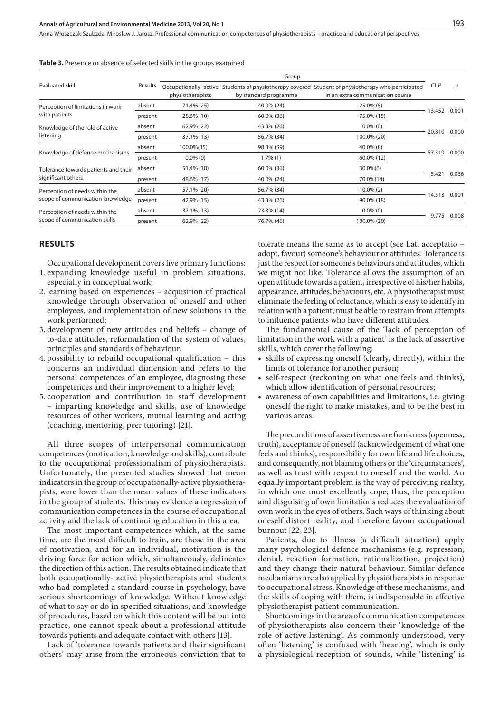Anna Włoszczak-Szubzda, Mirosław J. Jarosz . Professional communication competences of physiotherapists – practice and educational perspectives

|                                      |         | Group                                    |                                                                                   |                                                                               |                  |       |  |  |
|--------------------------------------|---------|------------------------------------------|-----------------------------------------------------------------------------------|-------------------------------------------------------------------------------|------------------|-------|--|--|
| Evaluated skill                      | Results | physiotherapists                         | Occupationally- active Students of physiotherapy covered<br>by standard programme | Student of physiotherapy who participated<br>in an extra communication course | Chi <sup>2</sup> | p     |  |  |
| Perception of limitations in work    | absent  | 71.4% (25)                               | 40.0% (24)<br>$25.0\%$ (5)                                                        |                                                                               |                  |       |  |  |
| with patients                        | present | 28.6% (10)                               | 60.0% (36)                                                                        | 75.0% (15)                                                                    | 13.452           | 0.001 |  |  |
| Knowledge of the role of active      | absent  | 62.9% (22)                               | 43.3% (26)<br>$0.0\%$ (0)                                                         |                                                                               |                  |       |  |  |
| listening                            | present | 37.1% (13)                               | 56.7% (34)                                                                        | 100.0% (20)                                                                   | 20.810           | 0.000 |  |  |
| Knowledge of defence mechanisms      | absent  | 100.0%(35)<br>98.3% (59)                 |                                                                                   | $40.0\%$ (8)                                                                  |                  |       |  |  |
|                                      | present | $0.0\%$ (0)                              | $1.7\%(1)$                                                                        | 60.0% (12)                                                                    | 57.319           | 0.000 |  |  |
| Tolerance towards patients and their | absent  | 51.4% (18)<br>60.0% (36)<br>$30.0\%$ (6) |                                                                                   |                                                                               |                  |       |  |  |
| significant others                   | present | 48.6% (17)                               | 40.0% (24)                                                                        | 70.0%(14)                                                                     | 5.421            | 0.066 |  |  |
| Perception of needs within the       | absent  | 57.1% (20)                               | 56.7% (34)                                                                        | $10.0\%$ (2)                                                                  |                  |       |  |  |
| scope of communication knowledge     | present | 42.9% (15)                               | 43.3% (26)                                                                        | 90.0% (18)                                                                    | 14.513           | 0.001 |  |  |
| Perception of needs within the       | absent  | 37.1% (13)                               | 23.3% (14)                                                                        | $0.0\%$ (0)                                                                   |                  | 0.008 |  |  |
| scope of communication skills        | present | 62.9% (22)                               | 76.7% (46)                                                                        | 100.0% (20)                                                                   | 9.775            |       |  |  |

|  |  |  | <b>Table 3.</b> Presence or absence of selected skills in the groups examined |  |  |  |  |  |  |  |  |
|--|--|--|-------------------------------------------------------------------------------|--|--|--|--|--|--|--|--|
|--|--|--|-------------------------------------------------------------------------------|--|--|--|--|--|--|--|--|

#### **RESULTS**

Occupational development covers five primary functions:

- 1. expanding knowledge useful in problem situations, especially in conceptual work;
- 2. learning based on experiences acquisition of practical knowledge through observation of oneself and other employees, and implementation of new solutions in the work performed;
- 3. development of new attitudes and beliefs change of to-date attitudes, reformulation of the system of values, principles and standards of behaviour;
- 4. possibility to rebuild occupational qualification this concerns an individual dimension and refers to the personal competences of an employee, diagnosing these competences and their improvement to a higher level;
- 5. cooperation and contribution in staff development – imparting knowledge and skills, use of knowledge resources of other workers, mutual learning and acting (coaching, mentoring, peer tutoring) [21].

All three scopes of interpersonal communication competences (motivation, knowledge and skills), contribute to the occupational professionalism of physiotherapists. Unfortunately, the presented studies showed that mean indicators in the group of occupationally-active physiotherapists, were lower than the mean values of these indicators in the group of students. This may evidence a regression of communication competences in the course of occupational activity and the lack of continuing education in this area.

The most important competences which, at the same time, are the most difficult to train, are those in the area of motivation, and for an individual, motivation is the driving force for action which, simultaneously, delineates the direction of this action. The results obtained indicate that both occupationally- active physiotherapists and students who had completed a standard course in psychology, have serious shortcomings of knowledge. Without knowledge of what to say or do in specified situations, and knowledge of procedures, based on which this content will be put into practice, one cannot speak about a professional attitude towards patients and adequate contact with others [13].

Lack of 'tolerance towards patients and their significant others' may arise from the erroneous conviction that to

tolerate means the same as to accept (see Lat. acceptatio – adopt, favour) someone's behaviour or attitudes. Tolerance is just the respect for someone's behaviours and attitudes, which we might not like. Tolerance allows the assumption of an open attitude towards a patient, irrespective of his/her habits, appearance, attitudes, behaviours, etc. A physiotherapist must eliminate the feeling of reluctance, which is easy to identify in relation with a patient, must be able to restrain from attempts to influence patients who have different attitudes.

The fundamental cause of the 'lack of perception of limitation in the work with a patient' is the lack of assertive skills, which cover the following:

- • skills of expressing oneself (clearly, directly), within the limits of tolerance for another person;
- self-respect (reckoning on what one feels and thinks), which allow identification of personal resources;
- awareness of own capabilities and limitations, i.e. giving oneself the right to make mistakes, and to be the best in various areas.

The preconditions of assertiveness are frankness (openness, truth), acceptance of oneself (acknowledgement of what one feels and thinks), responsibility for own life and life choices, and consequently, not blaming others or the 'circumstances', as well as trust with respect to oneself and the world. An equally important problem is the way of perceiving reality, in which one must excellently cope; thus, the perception and disguising of own limitations reduces the evaluation of own work in the eyes of others. Such ways of thinking about oneself distort reality, and therefore favour occupational burnout [22, 23].

Patients, due to illness (a difficult situation) apply many psychological defence mechanisms (e.g. repression, denial, reaction formation, rationalization, projection) and they change their natural behaviour. Similar defence mechanisms are also applied by physiotherapists in response to occupational stress. Knowledge of these mechanisms, and the skills of coping with them, is indispensable in effective physiotherapist-patient communication.

Shortcomings in the area of communication competences of physiotherapists also concern their 'knowledge of the role of active listening'. As commonly understood, very often 'listening' is confused with 'hearing', which is only a physiological reception of sounds, while 'listening' is